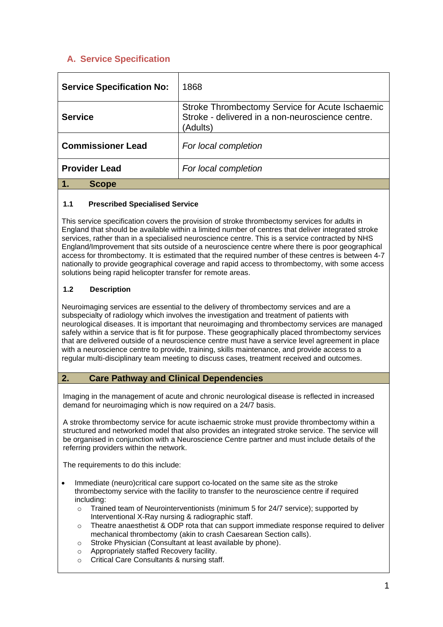# **A. Service Specification**

| <b>Service Specification No:</b> | 1868                                                                                                            |
|----------------------------------|-----------------------------------------------------------------------------------------------------------------|
| <b>Service</b>                   | Stroke Thrombectomy Service for Acute Ischaemic<br>Stroke - delivered in a non-neuroscience centre.<br>(Adults) |
| <b>Commissioner Lead</b>         | For local completion                                                                                            |
| <b>Provider Lead</b>             | For local completion                                                                                            |
| <b>Scope</b>                     |                                                                                                                 |

### **1.1 Prescribed Specialised Service**

This service specification covers the provision of stroke thrombectomy services for adults in England that should be available within a limited number of centres that deliver integrated stroke services, rather than in a specialised neuroscience centre. This is a service contracted by NHS England/Improvement that sits outside of a neuroscience centre where there is poor geographical access for thrombectomy. It is estimated that the required number of these centres is between 4-7 nationally to provide geographical coverage and rapid access to thrombectomy, with some access solutions being rapid helicopter transfer for remote areas.

### **1.2 Description**

Neuroimaging services are essential to the delivery of thrombectomy services and are a subspecialty of radiology which involves the investigation and treatment of patients with neurological diseases. It is important that neuroimaging and thrombectomy services are managed safely within a service that is fit for purpose. These geographically placed thrombectomy services that are delivered outside of a neuroscience centre must have a service level agreement in place with a neuroscience centre to provide, training, skills maintenance, and provide access to a regular multi-disciplinary team meeting to discuss cases, treatment received and outcomes.

### **2. Care Pathway and Clinical Dependencies**

Imaging in the management of acute and chronic neurological disease is reflected in increased demand for neuroimaging which is now required on a 24/7 basis.

A stroke thrombectomy service for acute ischaemic stroke must provide thrombectomy within a structured and networked model that also provides an integrated stroke service. The service will be organised in conjunction with a Neuroscience Centre partner and must include details of the referring providers within the network.

The requirements to do this include:

- Immediate (neuro)critical care support co-located on the same site as the stroke thrombectomy service with the facility to transfer to the neuroscience centre if required including:
	- o Trained team of Neurointerventionists (minimum 5 for 24/7 service); supported by Interventional X-Ray nursing & radiographic staff.
	- o Theatre anaesthetist & ODP rota that can support immediate response required to deliver mechanical thrombectomy (akin to crash Caesarean Section calls).
	- $\circ$  Stroke Physician (Consultant at least available by phone).<br>  $\circ$  Appropriately staffed Recovery facility.
	- Appropriately staffed Recovery facility.
	- o Critical Care Consultants & nursing staff.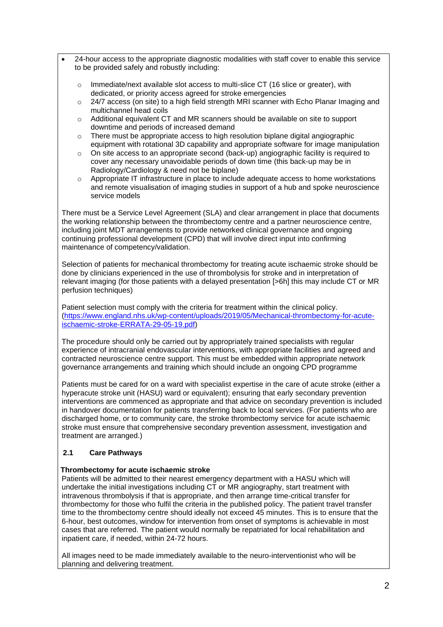- 24-hour access to the appropriate diagnostic modalities with staff cover to enable this service to be provided safely and robustly including:
	- $\circ$  Immediate/next available slot access to multi-slice CT (16 slice or greater), with dedicated, or priority access agreed for stroke emergencies
	- o 24/7 access (on site) to a high field strength MRI scanner with Echo Planar Imaging and multichannel head coils
	- o Additional equivalent CT and MR scanners should be available on site to support downtime and periods of increased demand
	- $\circ$  There must be appropriate access to high resolution biplane digital angiographic equipment with rotational 3D capability and appropriate software for image manipulation
	- $\circ$  On site access to an appropriate second (back-up) angiographic facility is required to cover any necessary unavoidable periods of down time (this back-up may be in Radiology/Cardiology & need not be biplane)
	- o Appropriate IT infrastructure in place to include adequate access to home workstations and remote visualisation of imaging studies in support of a hub and spoke neuroscience service models

There must be a Service Level Agreement (SLA) and clear arrangement in place that documents the working relationship between the thrombectomy centre and a partner neuroscience centre, including joint MDT arrangements to provide networked clinical governance and ongoing continuing professional development (CPD) that will involve direct input into confirming maintenance of competency/validation.

Selection of patients for mechanical thrombectomy for treating acute ischaemic stroke should be done by clinicians experienced in the use of thrombolysis for stroke and in interpretation of relevant imaging (for those patients with a delayed presentation [>6h] this may include CT or MR perfusion techniques)

Patient selection must comply with the criteria for treatment within the clinical policy. [\(https://www.england.nhs.uk/wp-content/uploads/2019/05/Mechanical-thrombectomy-for-acute](https://www.england.nhs.uk/wp-content/uploads/2019/05/Mechanical-thrombectomy-for-acute-ischaemic-stroke-ERRATA-29-05-19.pdf)[ischaemic-stroke-ERRATA-29-05-19.pdf\)](https://www.england.nhs.uk/wp-content/uploads/2019/05/Mechanical-thrombectomy-for-acute-ischaemic-stroke-ERRATA-29-05-19.pdf)

The procedure should only be carried out by appropriately trained specialists with regular experience of intracranial endovascular interventions, with appropriate facilities and agreed and contracted neuroscience centre support. This must be embedded within appropriate network governance arrangements and training which should include an ongoing CPD programme

Patients must be cared for on a ward with specialist expertise in the care of acute stroke (either a hyperacute stroke unit (HASU) ward or equivalent); ensuring that early secondary prevention interventions are commenced as appropriate and that advice on secondary prevention is included in handover documentation for patients transferring back to local services. (For patients who are discharged home, or to community care, the stroke thrombectomy service for acute ischaemic stroke must ensure that comprehensive secondary prevention assessment, investigation and treatment are arranged.)

### **2.1 Care Pathways**

### **Stroke Thrombectomy for acute ischaemic stroke**

Patients will be admitted to their nearest emergency department with a HASU which will undertake the initial investigations including CT or MR angiography, start treatment with intravenous thrombolysis if that is appropriate, and then arrange time-critical transfer for thrombectomy for those who fulfil the criteria in the published policy. The patient travel transfer time to the thrombectomy centre should ideally not exceed 45 minutes. This is to ensure that the 6-hour, best outcomes, window for intervention from onset of symptoms is achievable in most cases that are referred. The patient would normally be repatriated for local rehabilitation and inpatient care, if needed, within 24-72 hours.

All images need to be made immediately available to the neuro-interventionist who will be planning and delivering treatment.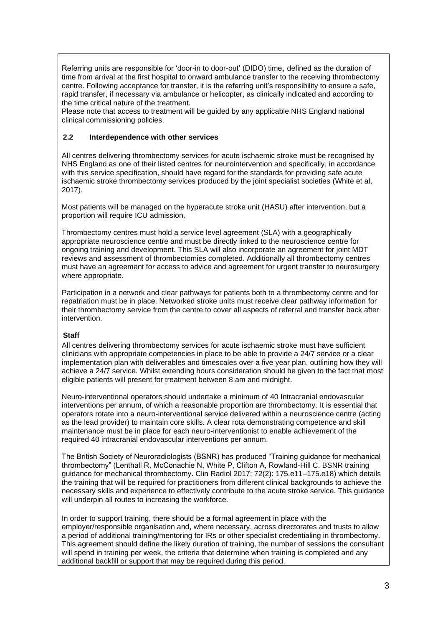Referring units are responsible for 'door-in to door-out' (DIDO) time, defined as the duration of time from arrival at the first hospital to onward ambulance transfer to the receiving thrombectomy centre. Following acceptance for transfer, it is the referring unit's responsibility to ensure a safe, rapid transfer, if necessary via ambulance or helicopter, as clinically indicated and according to the time critical nature of the treatment.

Please note that access to treatment will be guided by any applicable NHS England national clinical commissioning policies.

#### **2.2 Interdependence with other services**

All centres delivering thrombectomy services for acute ischaemic stroke must be recognised by NHS England as one of their listed centres for neurointervention and specifically, in accordance with this service specification, should have regard for the standards for providing safe acute ischaemic stroke thrombectomy services produced by the joint specialist societies (White et al, 2017).

Most patients will be managed on the hyperacute stroke unit (HASU) after intervention, but a proportion will require ICU admission.

Thrombectomy centres must hold a service level agreement (SLA) with a geographically appropriate neuroscience centre and must be directly linked to the neuroscience centre for ongoing training and development. This SLA will also incorporate an agreement for joint MDT reviews and assessment of thrombectomies completed. Additionally all thrombectomy centres must have an agreement for access to advice and agreement for urgent transfer to neurosurgery where appropriate.

Participation in a network and clear pathways for patients both to a thrombectomy centre and for repatriation must be in place. Networked stroke units must receive clear pathway information for their thrombectomy service from the centre to cover all aspects of referral and transfer back after intervention.

#### **Staff**

All centres delivering thrombectomy services for acute ischaemic stroke must have sufficient clinicians with appropriate competencies in place to be able to provide a 24/7 service or a clear implementation plan with deliverables and timescales over a five year plan, outlining how they will achieve a 24/7 service. Whilst extending hours consideration should be given to the fact that most eligible patients will present for treatment between 8 am and midnight.

Neuro-interventional operators should undertake a minimum of 40 Intracranial endovascular interventions per annum, of which a reasonable proportion are thrombectomy. It is essential that operators rotate into a neuro-interventional service delivered within a neuroscience centre (acting as the lead provider) to maintain core skills. A clear rota demonstrating competence and skill maintenance must be in place for each neuro-interventionist to enable achievement of the required 40 intracranial endovascular interventions per annum.

The British Society of Neuroradiologists (BSNR) has produced "Training guidance for mechanical thrombectomy" (Lenthall R, McConachie N, White P, Clifton A, Rowland-Hill C. BSNR training guidance for mechanical thrombectomy. Clin Radiol 2017; 72(2): 175.e11–175.e18) which details the training that will be required for practitioners from different clinical backgrounds to achieve the necessary skills and experience to effectively contribute to the acute stroke service. This guidance will underpin all routes to increasing the workforce.

In order to support training, there should be a formal agreement in place with the employer/responsible organisation and, where necessary, across directorates and trusts to allow a period of additional training/mentoring for IRs or other specialist credentialing in thrombectomy. This agreement should define the likely duration of training, the number of sessions the consultant will spend in training per week, the criteria that determine when training is completed and any additional backfill or support that may be required during this period.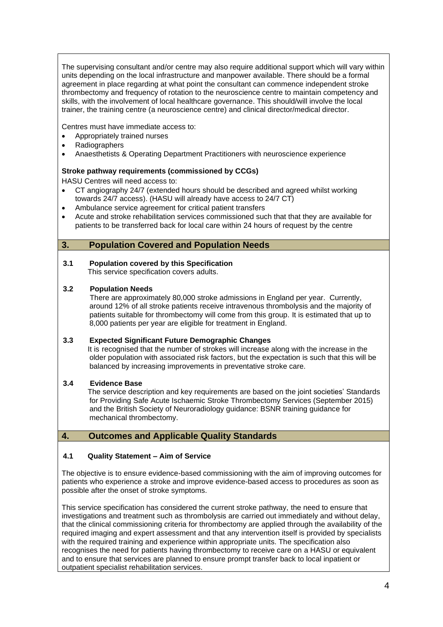The supervising consultant and/or centre may also require additional support which will vary within units depending on the local infrastructure and manpower available. There should be a formal agreement in place regarding at what point the consultant can commence independent stroke thrombectomy and frequency of rotation to the neuroscience centre to maintain competency and skills, with the involvement of local healthcare governance. This should/will involve the local trainer, the training centre (a neuroscience centre) and clinical director/medical director.

Centres must have immediate access to:

- Appropriately trained nurses
- Radiographers
- Anaesthetists & Operating Department Practitioners with neuroscience experience

#### **Stroke pathway requirements (commissioned by CCGs)**

HASU Centres will need access to:

- CT angiography 24/7 (extended hours should be described and agreed whilst working towards 24/7 access). (HASU will already have access to 24/7 CT)
- Ambulance service agreement for critical patient transfers
- Acute and stroke rehabilitation services commissioned such that that they are available for patients to be transferred back for local care within 24 hours of request by the centre

## **3. Population Covered and Population Needs**

**3.1 Population covered by this Specification**  This service specification covers adults.

#### **3.2 Population Needs**

 There are approximately 80,000 stroke admissions in England per year. Currently, around 12% of all stroke patients receive intravenous thrombolysis and the majority of patients suitable for thrombectomy will come from this group. It is estimated that up to 8,000 patients per year are eligible for treatment in England.

#### **3.3 Expected Significant Future Demographic Changes**

 It is recognised that the number of strokes will increase along with the increase in the older population with associated risk factors, but the expectation is such that this will be balanced by increasing improvements in preventative stroke care.

### **3.4 Evidence Base**

 The service description and key requirements are based on the joint societies' Standards for Providing Safe Acute Ischaemic Stroke Thrombectomy Services (September 2015) and the British Society of Neuroradiology guidance: BSNR training guidance for mechanical thrombectomy.

### **4. Outcomes and Applicable Quality Standards**

### **4.1 Quality Statement – Aim of Service**

The objective is to ensure evidence-based commissioning with the aim of improving outcomes for patients who experience a stroke and improve evidence-based access to procedures as soon as possible after the onset of stroke symptoms.

This service specification has considered the current stroke pathway, the need to ensure that investigations and treatment such as thrombolysis are carried out immediately and without delay, that the clinical commissioning criteria for thrombectomy are applied through the availability of the required imaging and expert assessment and that any intervention itself is provided by specialists with the required training and experience within appropriate units. The specification also recognises the need for patients having thrombectomy to receive care on a HASU or equivalent and to ensure that services are planned to ensure prompt transfer back to local inpatient or outpatient specialist rehabilitation services.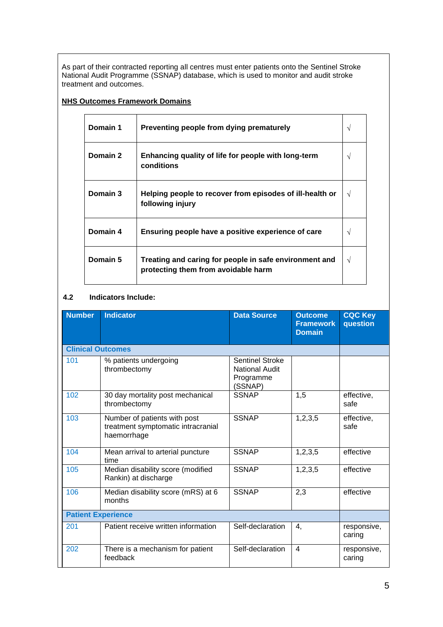As part of their contracted reporting all centres must enter patients onto the Sentinel Stroke National Audit Programme (SSNAP) database, which is used to monitor and audit stroke treatment and outcomes.

#### **NHS Outcomes Framework Domains**

| Domain 1 | Preventing people from dying prematurely                                                      | ٦Ι |
|----------|-----------------------------------------------------------------------------------------------|----|
| Domain 2 | Enhancing quality of life for people with long-term<br>conditions                             |    |
| Domain 3 | Helping people to recover from episodes of ill-health or<br>following injury                  | V  |
| Domain 4 | Ensuring people have a positive experience of care                                            |    |
| Domain 5 | Treating and caring for people in safe environment and<br>protecting them from avoidable harm | V  |

#### **4.2 Indicators Include:**

| <b>Number</b>             | <b>Indicator</b>                                                                  | <b>Data Source</b>                                                      | <b>Outcome</b><br><b>Framework</b><br><b>Domain</b> | <b>CQC Key</b><br>question |
|---------------------------|-----------------------------------------------------------------------------------|-------------------------------------------------------------------------|-----------------------------------------------------|----------------------------|
| <b>Clinical Outcomes</b>  |                                                                                   |                                                                         |                                                     |                            |
| 101                       | % patients undergoing<br>thrombectomy                                             | <b>Sentinel Stroke</b><br><b>National Audit</b><br>Programme<br>(SSNAP) |                                                     |                            |
| 102                       | 30 day mortality post mechanical<br>thrombectomy                                  | <b>SSNAP</b>                                                            | 1,5                                                 | effective,<br>safe         |
| 103                       | Number of patients with post<br>treatment symptomatic intracranial<br>haemorrhage | <b>SSNAP</b>                                                            | 1,2,3,5                                             | effective,<br>safe         |
| 104                       | Mean arrival to arterial puncture<br>time                                         | <b>SSNAP</b>                                                            | 1,2,3,5                                             | effective                  |
| 105                       | Median disability score (modified<br>Rankin) at discharge                         | <b>SSNAP</b>                                                            | 1,2,3,5                                             | effective                  |
| 106                       | Median disability score (mRS) at 6<br>months                                      | <b>SSNAP</b>                                                            | 2,3                                                 | effective                  |
| <b>Patient Experience</b> |                                                                                   |                                                                         |                                                     |                            |
| 201                       | Patient receive written information                                               | Self-declaration                                                        | 4.                                                  | responsive,<br>caring      |
| 202                       | There is a mechanism for patient<br>feedback                                      | Self-declaration                                                        | $\overline{4}$                                      | responsive,<br>caring      |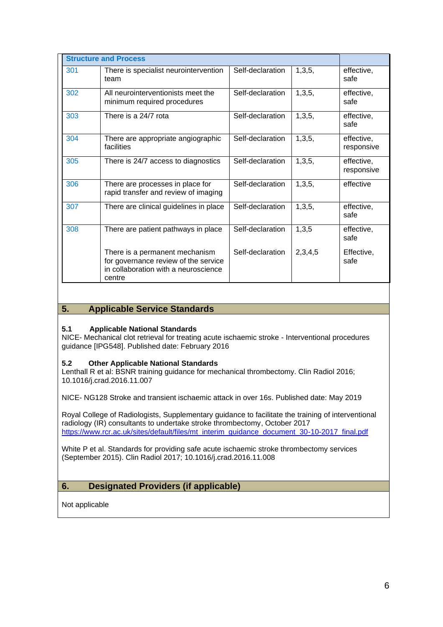| <b>Structure and Process</b> |                                                                                                                          |                  |         |                          |
|------------------------------|--------------------------------------------------------------------------------------------------------------------------|------------------|---------|--------------------------|
| 301                          | There is specialist neurointervention<br>team                                                                            | Self-declaration | 1,3,5,  | effective,<br>safe       |
| 302                          | All neurointerventionists meet the<br>minimum required procedures                                                        | Self-declaration | 1,3,5,  | effective,<br>safe       |
| 303                          | There is a 24/7 rota                                                                                                     | Self-declaration | 1,3,5,  | effective,<br>safe       |
| 304                          | There are appropriate angiographic<br>facilities                                                                         | Self-declaration | 1,3,5,  | effective,<br>responsive |
| 305                          | There is 24/7 access to diagnostics                                                                                      | Self-declaration | 1,3,5,  | effective,<br>responsive |
| 306                          | There are processes in place for<br>rapid transfer and review of imaging                                                 | Self-declaration | 1,3,5,  | effective                |
| 307                          | There are clinical guidelines in place                                                                                   | Self-declaration | 1,3,5,  | effective,<br>safe       |
| 308                          | There are patient pathways in place                                                                                      | Self-declaration | 1,3,5   | effective,<br>safe       |
|                              | There is a permanent mechanism<br>for governance review of the service<br>in collaboration with a neuroscience<br>centre | Self-declaration | 2,3,4,5 | Effective,<br>safe       |

### **5. Applicable Service Standards**

#### **5.1 Applicable National Standards**

NICE- Mechanical clot retrieval for treating acute ischaemic stroke - Interventional procedures guidance [IPG548]. Published date: February 2016

#### **5.2 Other Applicable National Standards**

Lenthall R et al: BSNR training guidance for mechanical thrombectomy. Clin Radiol 2016; 10.1016/j.crad.2016.11.007

NICE- NG128 Stroke and transient ischaemic attack in over 16s. Published date: May 2019

Royal College of Radiologists, Supplementary guidance to facilitate the training of interventional radiology (IR) consultants to undertake stroke thrombectomy, October 2017 [https://www.rcr.ac.uk/sites/default/files/mt\\_interim\\_guidance\\_document\\_30-10-2017\\_final.pdf](https://www.rcr.ac.uk/sites/default/files/mt_interim_guidance_document_30-10-2017_final.pdf)

White P et al. Standards for providing safe acute ischaemic stroke thrombectomy services (September 2015). Clin Radiol 2017; 10.1016/j.crad.2016.11.008

# **6. Designated Providers (if applicable)**

Not applicable